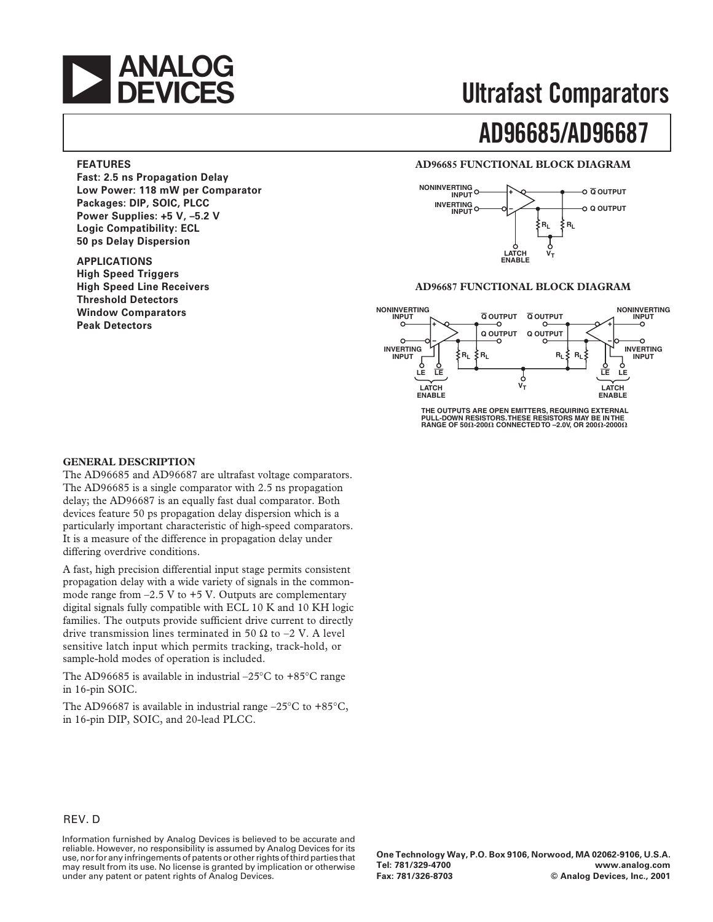

## **Ultrafast Comparators**

# **AD96685/AD96687**

#### **AD96685 FUNCTIONAL BLOCK DIAGRAM**



#### **AD96687 FUNCTIONAL BLOCK DIAGRAM**



**THE OUTPUTS ARE OPEN EMITTERS, REQUIRING EXTERNAL PULL-DOWN RESISTORS. THESE RESISTORS MAY BE IN THE RANGE OF 50-200 CONNECTED TO –2.0V, OR 200-2000**

#### **FEATURES**

**Fast: 2.5 ns Propagation Delay Low Power: 118 mW per Comparator Packages: DIP, SOIC, PLCC Power Supplies: +5 V, –5.2 V Logic Compatibility: ECL 50 ps Delay Dispersion**

**APPLICATIONS High Speed Triggers High Speed Line Receivers Threshold Detectors Window Comparators Peak Detectors**

#### **GENERAL DESCRIPTION**

The AD96685 and AD96687 are ultrafast voltage comparators. The AD96685 is a single comparator with 2.5 ns propagation delay; the AD96687 is an equally fast dual comparator. Both devices feature 50 ps propagation delay dispersion which is a particularly important characteristic of high-speed comparators. It is a measure of the difference in propagation delay under differing overdrive conditions.

A fast, high precision differential input stage permits consistent propagation delay with a wide variety of signals in the commonmode range from  $-2.5$  V to  $+5$  V. Outputs are complementary digital signals fully compatible with ECL 10 K and 10 KH logic families. The outputs provide sufficient drive current to directly drive transmission lines terminated in 50  $\Omega$  to –2 V. A level sensitive latch input which permits tracking, track-hold, or sample-hold modes of operation is included.

The AD96685 is available in industrial  $-25^{\circ}$ C to  $+85^{\circ}$ C range in 16-pin SOIC.

The AD96687 is available in industrial range  $-25^{\circ}$ C to  $+85^{\circ}$ C, in 16-pin DIP, SOIC, and 20-lead PLCC.

#### REV. D

Information furnished by Analog Devices is believed to be accurate and reliable. However, no responsibility is assumed by Analog Devices for its use, nor for any infringements of patents or other rights of third parties that may result from its use. No license is granted by implication or otherwise under any patent or patent rights of Analog Devices.

**One Technology Way, P.O. Box 9106, Norwood, MA 02062-9106, U.S.A. Tel: 781/329-4700 www.analog.com**  $©$  Analog Devices, Inc., 2001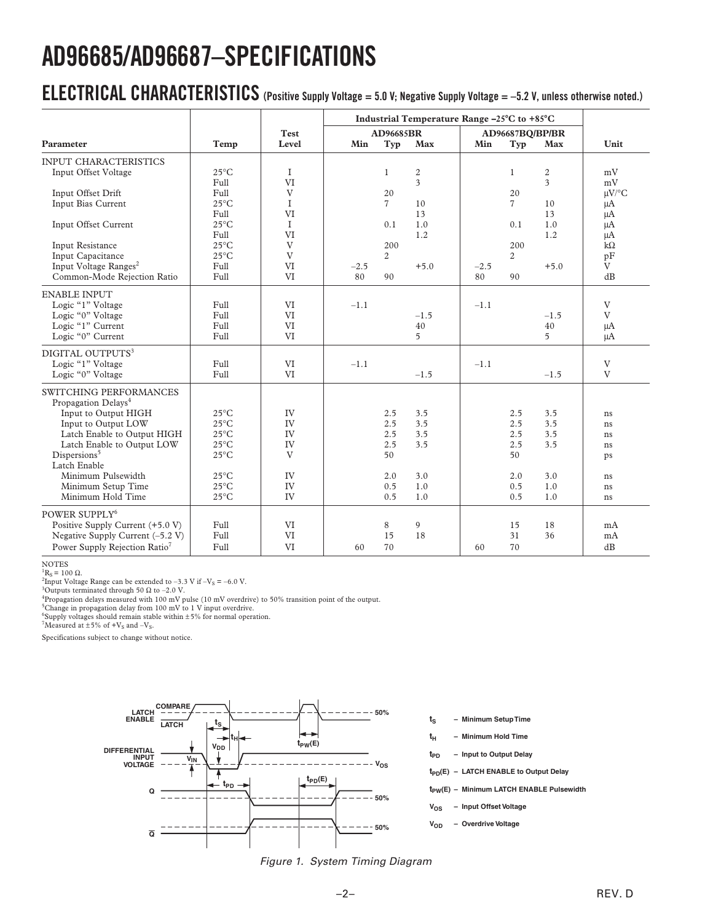# **AD96685/AD96687–SPECIFICATIONS**

## **ELECTRICAL CHARACTERISTICS (Positive Supply Voltage = 5.0 V; Negative Supply Voltage = –5.2 V, unless otherwise noted.)**

|                                           | Temp           | Test<br>Level | Industrial Temperature Range -25°C to +85°C |                |                         |        |                 |        |                        |
|-------------------------------------------|----------------|---------------|---------------------------------------------|----------------|-------------------------|--------|-----------------|--------|------------------------|
| Parameter                                 |                |               | AD96685BR                                   |                |                         |        | AD96687BQ/BP/BR |        |                        |
|                                           |                |               | Min                                         | Typ            | Max                     | Min    | Typ             | Max    | Unit                   |
| <b>INPUT CHARACTERISTICS</b>              |                |               |                                             |                |                         |        |                 |        |                        |
| Input Offset Voltage                      | $25^{\circ}$ C | I             |                                             | $\mathbf{1}$   | $\sqrt{2}$              |        | $\mathbf{1}$    | 2      | mV                     |
|                                           | Full           | VI            |                                             |                | $\overline{\mathbf{3}}$ |        |                 | 3      | mV                     |
| Input Offset Drift                        | Full           | V             |                                             | 20             |                         |        | 20              |        | $\mu V$ <sup>o</sup> C |
| Input Bias Current                        | $25^{\circ}$ C | $\bf{I}$      |                                             | $\overline{7}$ | 10                      |        | $\overline{7}$  | 10     | $\mu A$                |
|                                           | Full           | VI            |                                             |                | 13                      |        |                 | 13     | μA                     |
| Input Offset Current                      | $25^{\circ}$ C | $\mathbf{I}$  |                                             | 0.1            | 1.0                     |        | 0.1             | 1.0    | μA                     |
|                                           | Full           | VI            |                                             |                | 1.2                     |        |                 | 1.2    | $\mu A$                |
| <b>Input Resistance</b>                   | $25^{\circ}$ C | V             |                                             | 200            |                         |        | 200             |        | $k\Omega$              |
| Input Capacitance                         | $25^{\circ}$ C | V             |                                             | $\overline{2}$ |                         |        | $\overline{2}$  |        | pF                     |
| Input Voltage Ranges <sup>2</sup>         | Full           | VI            | $-2.5$                                      |                | $+5.0$                  | $-2.5$ |                 | $+5.0$ | V                      |
| Common-Mode Rejection Ratio               | Full           | VI            | 80                                          | 90             |                         | 80     | 90              |        | dB                     |
| <b>ENABLE INPUT</b>                       |                |               |                                             |                |                         |        |                 |        |                        |
| Logic "1" Voltage                         | Full           | VI            | $-1.1$                                      |                |                         | $-1.1$ |                 |        | V                      |
| Logic "0" Voltage                         | Full           | VI            |                                             |                | $-1.5$                  |        |                 | $-1.5$ | V                      |
| Logic "1" Current                         | Full           | VI            |                                             |                | 40                      |        |                 | 40     | $\mu A$                |
| Logic "0" Current                         | Full           | VI            |                                             |                | 5                       |        |                 | 5      | μA                     |
| DIGITAL OUTPUTS <sup>3</sup>              |                |               |                                             |                |                         |        |                 |        |                        |
| Logic "1" Voltage                         | Full           | VI            | $-1.1$                                      |                |                         | $-1.1$ |                 |        | V                      |
| Logic "0" Voltage                         | Full           | VI            |                                             |                | $-1.5$                  |        |                 | $-1.5$ | V                      |
| <b>SWITCHING PERFORMANCES</b>             |                |               |                                             |                |                         |        |                 |        |                        |
| Propagation Delays <sup>4</sup>           |                |               |                                             |                |                         |        |                 |        |                        |
| Input to Output HIGH                      | $25^{\circ}$ C | IV            |                                             | 2.5            | 3.5                     |        | 2.5             | 3.5    | ns                     |
| Input to Output LOW                       | $25^{\circ}$ C | IV            |                                             | 2.5            | 3.5                     |        | 2.5             | 3.5    | ns                     |
| Latch Enable to Output HIGH               | $25^{\circ}$ C | IV            |                                             | 2.5            | 3.5                     |        | 2.5             | 3.5    | ns                     |
| Latch Enable to Output LOW                | $25^{\circ}$ C | IV            |                                             | 2.5            | 3.5                     |        | 2.5             | 3.5    | ns                     |
| Dispersions <sup>5</sup>                  | $25^{\circ}$ C | V             |                                             | 50             |                         |        | 50              |        | ps                     |
| Latch Enable                              |                |               |                                             |                |                         |        |                 |        |                        |
| Minimum Pulsewidth                        | $25^{\circ}$ C | IV            |                                             | 2.0            | 3.0                     |        | 2.0             | 3.0    | ns                     |
| Minimum Setup Time                        | $25^{\circ}$ C | IV            |                                             | 0.5            | 1.0                     |        | 0.5             | 1.0    | ns                     |
| Minimum Hold Time                         | $25^{\circ}$ C | IV            |                                             | 0.5            | 1.0                     |        | 0.5             | 1.0    | ns                     |
| POWER SUPPLY <sup>6</sup>                 |                |               |                                             |                |                         |        |                 |        |                        |
| Positive Supply Current (+5.0 V)          | Full           | VI            |                                             | 8              | 9                       |        | 15              | 18     | mA                     |
| Negative Supply Current $(-5.2 V)$        | Full           | VI            |                                             | 15             | 18                      |        | 31              | 36     | mA                     |
| Power Supply Rejection Ratio <sup>7</sup> | Full           | VI            | 60                                          | 70             |                         | 60     | 70              |        | dB                     |

NOTES  ${}^{1}R_{S} = 100 \Omega$ .

<sup>1</sup>R<sub>S</sub> = 100 Ω.<br><sup>2</sup>Input Voltage Range can be extended to –3.3 V if –V<sub>S</sub> = –6.0 V.<br><sup>3</sup>Outputs terminated through 50 O to –2.0 V.

 $^{3}$ Outputs terminated through 50  $\Omega$  to –2.0 V.

4 Propagation delays measured with 100 mV pulse (10 mV overdrive) to 50% transition point of the output.

<sup>5</sup>Change in propagation delay from 100 mV to 1 V input overdrive.

<sup>6</sup>Supply voltages should remain stable within  $\pm 5\%$  for normal operation.<br><sup>7</sup>Measured at  $\pm 5\%$  of +V<sub>S</sub> and -V<sub>S</sub>.

Specifications subject to change without notice.



Figure 1. System Timing Diagram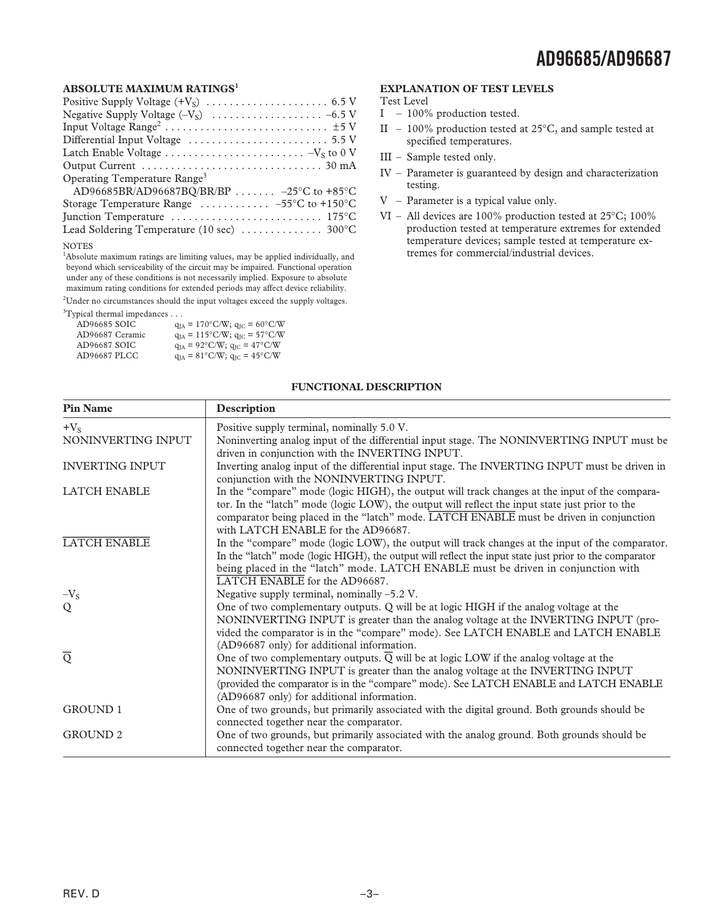#### **ABSOLUTE MAXIMUM RATINGS<sup>1</sup>**

| Operating Temperature Range <sup>3</sup>                                                    |
|---------------------------------------------------------------------------------------------|
| AD96685BR/AD96687BQ/BR/BP $-25^{\circ}$ C to $+85^{\circ}$ C                                |
| Storage Temperature Range $\ldots \ldots \ldots -55^{\circ}C$ to +150 °C                    |
| Junction Temperature $\dots\dots\dots\dots\dots\dots\dots\dots 175$ °C                      |
| Lead Soldering Temperature (10 sec)  300°C                                                  |
| <b>NOTES</b>                                                                                |
| <sup>1</sup> Absolute maximum ratings are limiting values, may be applied individually, and |

beyond which serviceability of the circuit may be impaired. Functional operation under any of these conditions is not necessarily implied. Exposure to absolute maximum rating conditions for extended periods may affect device reliability.

 $2$ Under no circumstances should the input voltages exceed the supply voltages.

<sup>3</sup>Typical thermal impedances . . .

| 1, president che i inter interpretative control i |                                                       |
|---------------------------------------------------|-------------------------------------------------------|
| AD96685 SOIC                                      | $q_{IA} = 170^{\circ}$ C/W; $q_{IC} = 60^{\circ}$ C/W |
| AD96687 Ceramic                                   | $q_{IA} = 115^{\circ}$ C/W; $q_{IC} = 57^{\circ}$ C/W |
| AD96687 SOIC                                      | $q_{IA} = 92^{\circ}$ C/W; $q_{IC} = 47^{\circ}$ C/W  |
| AD96687 PLCC                                      | $q_{IA} = 81^{\circ}$ C/W; $q_{IC} = 45^{\circ}$ C/W  |
|                                                   |                                                       |

#### **EXPLANATION OF TEST LEVELS**

Test Level

- I 100% production tested.
- II 100% production tested at 25°C, and sample tested at specified temperatures.
- III Sample tested only.
- IV Parameter is guaranteed by design and characterization testing.
- V Parameter is a typical value only.
- VI All devices are 100% production tested at 25°C; 100% production tested at temperature extremes for extended temperature devices; sample tested at temperature extremes for commercial/industrial devices.

#### **FUNCTIONAL DESCRIPTION**

| <b>Pin Name</b>        | Description                                                                                                                                                                                                                                                                                                                        |
|------------------------|------------------------------------------------------------------------------------------------------------------------------------------------------------------------------------------------------------------------------------------------------------------------------------------------------------------------------------|
| $+V_{S}$               | Positive supply terminal, nominally 5.0 V.                                                                                                                                                                                                                                                                                         |
| NONINVERTING INPUT     | Noninverting analog input of the differential input stage. The NONINVERTING INPUT must be<br>driven in conjunction with the INVERTING INPUT.                                                                                                                                                                                       |
| <b>INVERTING INPUT</b> | Inverting analog input of the differential input stage. The INVERTING INPUT must be driven in<br>conjunction with the NONINVERTING INPUT.                                                                                                                                                                                          |
| <b>LATCH ENABLE</b>    | In the "compare" mode (logic HIGH), the output will track changes at the input of the compara-<br>tor. In the "latch" mode (logic LOW), the output will reflect the input state just prior to the<br>comparator being placed in the "latch" mode. LATCH ENABLE must be driven in conjunction<br>with LATCH ENABLE for the AD96687. |
| <b>LATCH ENABLE</b>    | In the "compare" mode (logic LOW), the output will track changes at the input of the comparator.<br>In the "latch" mode (logic HIGH), the output will reflect the input state just prior to the comparator<br>being placed in the "latch" mode. LATCH ENABLE must be driven in conjunction with<br>LATCH ENABLE for the AD96687.   |
| $-V_{\rm S}$           | Negative supply terminal, nominally $-5.2$ V.                                                                                                                                                                                                                                                                                      |
| Q                      | One of two complementary outputs. Q will be at logic HIGH if the analog voltage at the<br>NONINVERTING INPUT is greater than the analog voltage at the INVERTING INPUT (pro-<br>vided the comparator is in the "compare" mode). See LATCH ENABLE and LATCH ENABLE<br>(AD96687 only) for additional information.                    |
| $\overline{Q}$         | One of two complementary outputs. $\overline{Q}$ will be at logic LOW if the analog voltage at the<br>NONINVERTING INPUT is greater than the analog voltage at the INVERTING INPUT<br>(provided the comparator is in the "compare" mode). See LATCH ENABLE and LATCH ENABLE<br>(AD96687 only) for additional information.          |
| <b>GROUND 1</b>        | One of two grounds, but primarily associated with the digital ground. Both grounds should be<br>connected together near the comparator.                                                                                                                                                                                            |
| <b>GROUND 2</b>        | One of two grounds, but primarily associated with the analog ground. Both grounds should be<br>connected together near the comparator.                                                                                                                                                                                             |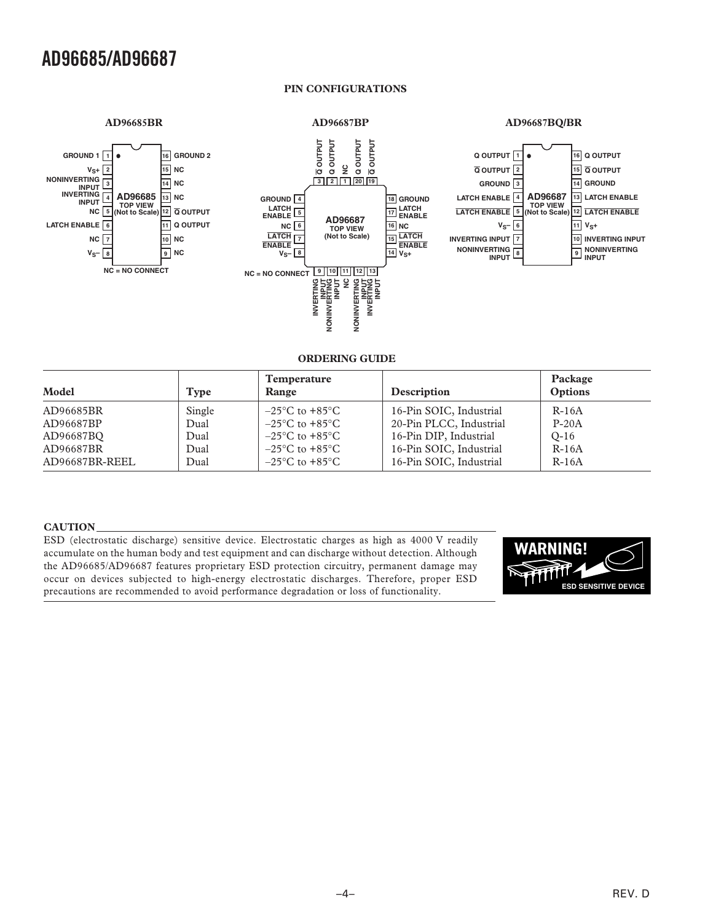### **AD96685/AD96687**

#### **PIN CONFIGURATIONS**

#### **AD96685BR**

#### **AD96687BP**



#### **ORDERING GUIDE**

| Model          | Type   | <b>Temperature</b><br>Range        | Description             | Package<br>Options |
|----------------|--------|------------------------------------|-------------------------|--------------------|
| AD96685BR      | Single | $-25^{\circ}$ C to $+85^{\circ}$ C | 16-Pin SOIC, Industrial | $R-16A$            |
| AD96687BP      | Dual   | $-25^{\circ}$ C to $+85^{\circ}$ C | 20-Pin PLCC, Industrial | $P-20A$            |
| AD96687BO      | Dual   | $-25^{\circ}$ C to $+85^{\circ}$ C | 16-Pin DIP, Industrial  | $O-16$             |
| AD96687BR      | Dual   | $-25^{\circ}$ C to $+85^{\circ}$ C | 16-Pin SOIC, Industrial | $R-16A$            |
| AD96687BR-REEL | Dual   | $-25^{\circ}$ C to $+85^{\circ}$ C | 16-Pin SOIC, Industrial | $R-16A$            |

#### **CAUTION**

ESD (electrostatic discharge) sensitive device. Electrostatic charges as high as 4000 V readily accumulate on the human body and test equipment and can discharge without detection. Although the AD96685/AD96687 features proprietary ESD protection circuitry, permanent damage may occur on devices subjected to high-energy electrostatic discharges. Therefore, proper ESD precautions are recommended to avoid performance degradation or loss of functionality.

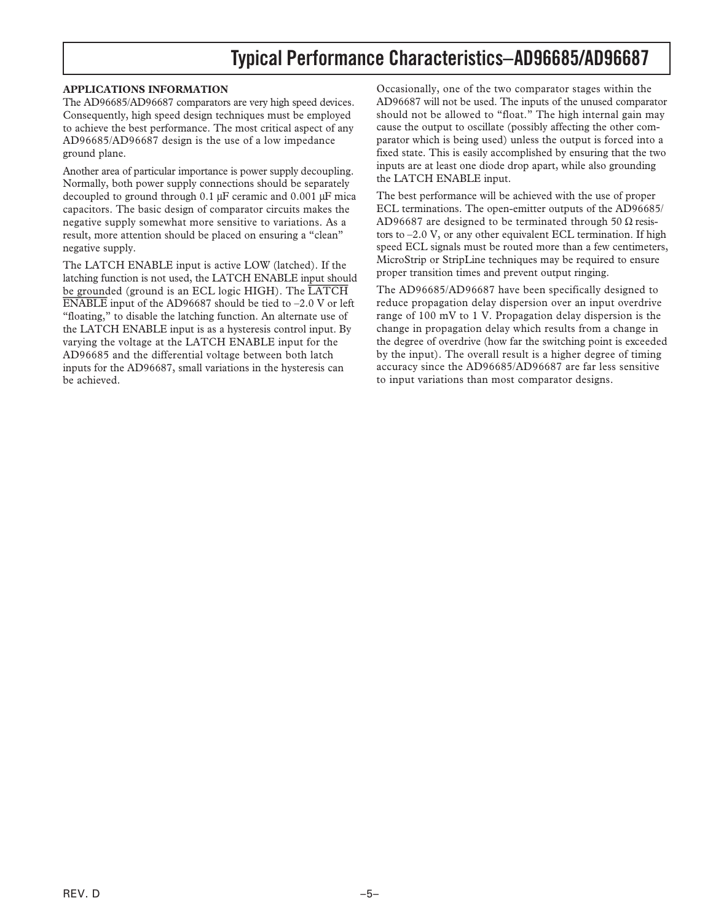## **Typical Performance Characteristics–AD96685/AD96687**

#### **APPLICATIONS INFORMATION**

The AD96685/AD96687 comparators are very high speed devices. Consequently, high speed design techniques must be employed to achieve the best performance. The most critical aspect of any AD96685/AD96687 design is the use of a low impedance ground plane.

Another area of particular importance is power supply decoupling. Normally, both power supply connections should be separately decoupled to ground through 0.1 µF ceramic and 0.001 µF mica capacitors. The basic design of comparator circuits makes the negative supply somewhat more sensitive to variations. As a result, more attention should be placed on ensuring a "clean" negative supply.

The LATCH ENABLE input is active LOW (latched). If the latching function is not used, the LATCH ENABLE input should be grounded (ground is an ECL logic HIGH). The *LATCH ENABLE* input of the AD96687 should be tied to –2.0 V or left "floating," to disable the latching function. An alternate use of the LATCH ENABLE input is as a hysteresis control input. By varying the voltage at the LATCH ENABLE input for the AD96685 and the differential voltage between both latch inputs for the AD96687, small variations in the hysteresis can be achieved.

Occasionally, one of the two comparator stages within the AD96687 will not be used. The inputs of the unused comparator should not be allowed to "float." The high internal gain may cause the output to oscillate (possibly affecting the other comparator which is being used) unless the output is forced into a fixed state. This is easily accomplished by ensuring that the two inputs are at least one diode drop apart, while also grounding the LATCH ENABLE input.

The best performance will be achieved with the use of proper ECL terminations. The open-emitter outputs of the AD96685/ AD96687 are designed to be terminated through 50  $\Omega$  resistors to –2.0 V, or any other equivalent ECL termination. If high speed ECL signals must be routed more than a few centimeters, MicroStrip or StripLine techniques may be required to ensure proper transition times and prevent output ringing.

The AD96685/AD96687 have been specifically designed to reduce propagation delay dispersion over an input overdrive range of 100 mV to 1 V. Propagation delay dispersion is the change in propagation delay which results from a change in the degree of overdrive (how far the switching point is exceeded by the input). The overall result is a higher degree of timing accuracy since the AD96685/AD96687 are far less sensitive to input variations than most comparator designs.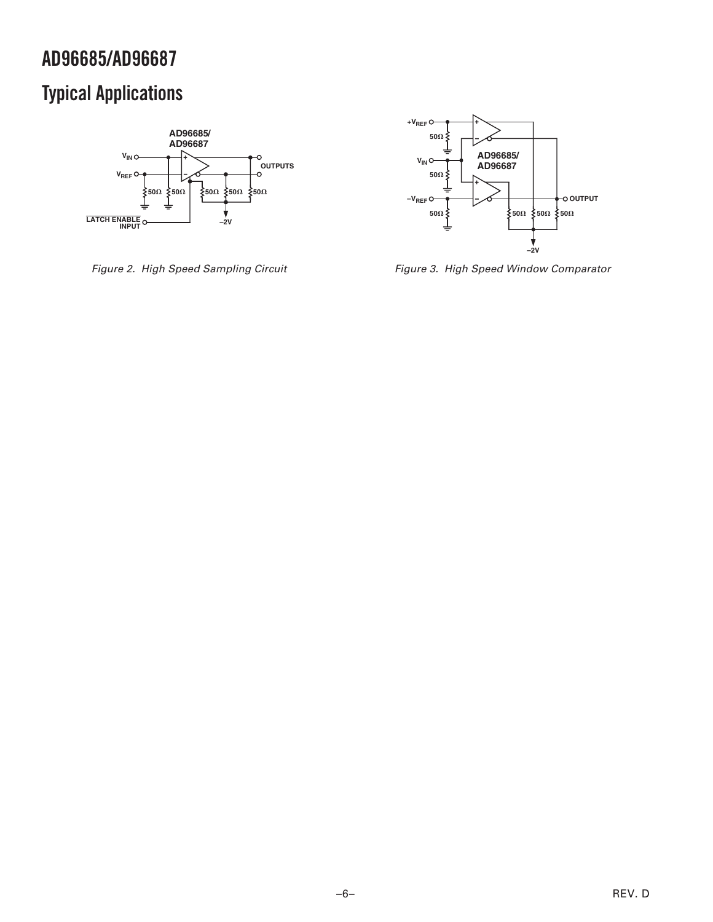## **AD96685/AD96687**

## **Typical Applications**



Figure 2. High Speed Sampling Circuit



Figure 3. High Speed Window Comparator